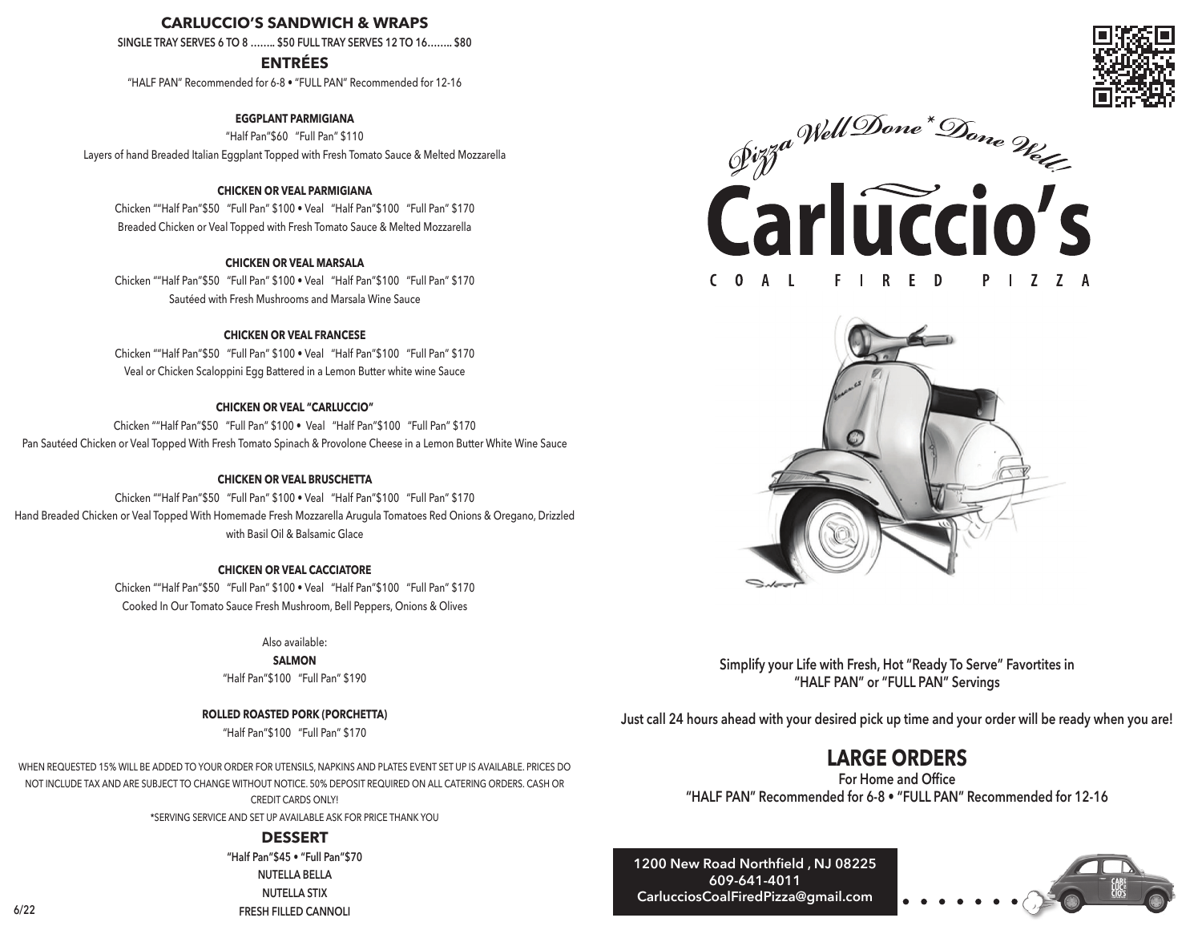## **CARLUCCIO'S SANDWICH & WRAPS**

**SINGLE TRAY SERVES 6 TO 8 …….. \$50 FULL TRAY SERVES 12 TO 16…….. \$80** 

**ENTRÉES**

"HALF PAN" Recommended for 6-8 • "FULL PAN" Recommended for 12-16

**EGGPLANT PARMIGIANA** "Half Pan"\$60 "Full Pan" \$110 Layers of hand Breaded Italian Eggplant Topped with Fresh Tomato Sauce & Melted Mozzarella

#### **CHICKEN OR VEAL PARMIGIANA**

Chicken ""Half Pan"\$50 "Full Pan" \$100 • Veal "Half Pan"\$100 "Full Pan" \$170 Breaded Chicken or Veal Topped with Fresh Tomato Sauce & Melted Mozzarella

#### **CHICKEN OR VEAL MARSALA**

Chicken ""Half Pan"\$50 "Full Pan" \$100 • Veal "Half Pan"\$100 "Full Pan" \$170 Sautéed with Fresh Mushrooms and Marsala Wine Sauce

### **CHICKEN OR VEAL FRANCESE**

Chicken ""Half Pan"\$50 "Full Pan" \$100 • Veal "Half Pan"\$100 "Full Pan" \$170 Veal or Chicken Scaloppini Egg Battered in a Lemon Butter white wine Sauce

### **CHICKEN OR VEAL "CARLUCCIO"**

Chicken ""Half Pan"\$50 "Full Pan" \$100 • Veal "Half Pan"\$100 "Full Pan" \$170 Pan Sautéed Chicken or Veal Topped With Fresh Tomato Spinach & Provolone Cheese in a Lemon Butter White Wine Sauce

#### **CHICKEN OR VEAL BRUSCHETTA**

Chicken ""Half Pan"\$50 "Full Pan" \$100 • Veal "Half Pan"\$100 "Full Pan" \$170 Hand Breaded Chicken or Veal Topped With Homemade Fresh Mozzarella Arugula Tomatoes Red Onions & Oregano, Drizzled with Basil Oil & Balsamic Glace

#### **CHICKEN OR VEAL CACCIATORE**

Chicken ""Half Pan"\$50 "Full Pan" \$100 • Veal "Half Pan"\$100 "Full Pan" \$170 Cooked In Our Tomato Sauce Fresh Mushroom, Bell Peppers, Onions & Olives

Also available:

**SALMON** "Half Pan"\$100 "Full Pan" \$190

**ROLLED ROASTED PORK (PORCHETTA)** "Half Pan"\$100 "Full Pan" \$170

WHEN REQUESTED 15% WILL BE ADDED TO YOUR ORDER FOR UTENSILS, NAPKINS AND PLATES EVENT SET UP IS AVAILABLE. PRICES DO NOT INCLUDE TAX AND ARE SUBJECT TO CHANGE WITHOUT NOTICE. 50% DEPOSIT REQUIRED ON ALL CATERING ORDERS. CASH OR CREDIT CARDS ONLY!

\*SERVING SERVICE AND SET UP AVAILABLE ASK FOR PRICE THANK YOU

### **DESSERT**

**"Half Pan"\$45 • "Full Pan"\$70 NUTELLA BELLA NUTELLA STIX FRESH FILLED CANNOLI**







**Simplify your Life with Fresh, Hot "Ready To Serve" Favortites in "HALF PAN" or "FULL PAN" Servings**

**Just call 24 hours ahead with your desired pick up time and your order will be ready when you are!**

## **LARGE ORDERS**

**For Home and Office "HALF PAN" Recommended for 6-8 • "FULL PAN" Recommended for 12-16**

**1200 New Road Northfield , NJ 08225 609-641-4011 CarlucciosCoalFiredPizza@gmail.com**